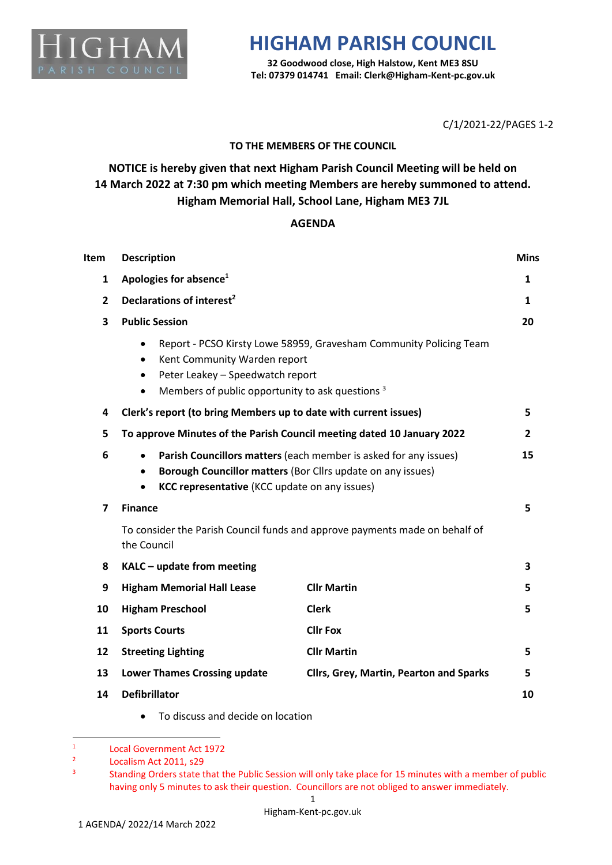

## **HIGHAM PARISH COUNCIL**

**32 Goodwood close, High Halstow, Kent ME3 8SU Tel: 07379 014741 Email: Clerk@Higham-Kent-pc.gov.uk**

C/1/2021-22/PAGES 1-2

## **TO THE MEMBERS OF THE COUNCIL**

**NOTICE is hereby given that next Higham Parish Council Meeting will be held on 14 March 2022 at 7:30 pm which meeting Members are hereby summoned to attend. Higham Memorial Hall, School Lane, Higham ME3 7JL**

## **AGENDA**

| Item                                                                                                                                                                                                                              | <b>Description</b>                                                                                                                                                                                         |                                                | <b>Mins</b>  |
|-----------------------------------------------------------------------------------------------------------------------------------------------------------------------------------------------------------------------------------|------------------------------------------------------------------------------------------------------------------------------------------------------------------------------------------------------------|------------------------------------------------|--------------|
| 1                                                                                                                                                                                                                                 | Apologies for absence <sup>1</sup>                                                                                                                                                                         |                                                | 1            |
| $\mathbf{2}$                                                                                                                                                                                                                      | Declarations of interest <sup>2</sup>                                                                                                                                                                      |                                                | 1            |
| 3                                                                                                                                                                                                                                 | <b>Public Session</b>                                                                                                                                                                                      |                                                | 20           |
| Report - PCSO Kirsty Lowe 58959, Gravesham Community Policing Team<br>$\bullet$<br>Kent Community Warden report<br>$\bullet$<br>Peter Leakey - Speedwatch report<br>Members of public opportunity to ask questions 3<br>$\bullet$ |                                                                                                                                                                                                            |                                                |              |
| 4                                                                                                                                                                                                                                 | Clerk's report (to bring Members up to date with current issues)                                                                                                                                           |                                                | 5            |
| 5                                                                                                                                                                                                                                 | To approve Minutes of the Parish Council meeting dated 10 January 2022                                                                                                                                     |                                                | $\mathbf{2}$ |
| 6                                                                                                                                                                                                                                 | Parish Councillors matters (each member is asked for any issues)<br>$\bullet$<br>Borough Councillor matters (Bor Cllrs update on any issues)<br>$\bullet$<br>KCC representative (KCC update on any issues) |                                                | 15           |
| $\overline{\mathbf{z}}$                                                                                                                                                                                                           | <b>Finance</b>                                                                                                                                                                                             |                                                | 5            |
|                                                                                                                                                                                                                                   | To consider the Parish Council funds and approve payments made on behalf of<br>the Council                                                                                                                 |                                                |              |
| 8                                                                                                                                                                                                                                 | KALC - update from meeting                                                                                                                                                                                 |                                                | 3            |
| 9                                                                                                                                                                                                                                 | <b>Higham Memorial Hall Lease</b>                                                                                                                                                                          | <b>Cllr Martin</b>                             | 5            |
| 10                                                                                                                                                                                                                                | <b>Higham Preschool</b>                                                                                                                                                                                    | <b>Clerk</b>                                   | 5            |
| 11                                                                                                                                                                                                                                | <b>Sports Courts</b>                                                                                                                                                                                       | <b>Cllr Fox</b>                                |              |
| 12                                                                                                                                                                                                                                | <b>Streeting Lighting</b>                                                                                                                                                                                  | <b>Cllr Martin</b>                             | 5            |
| 13                                                                                                                                                                                                                                | <b>Lower Thames Crossing update</b>                                                                                                                                                                        | <b>Cllrs, Grey, Martin, Pearton and Sparks</b> | 5            |
| 14                                                                                                                                                                                                                                | <b>Defibrillator</b>                                                                                                                                                                                       |                                                | 10           |

• To discuss and decide on location

<sup>1</sup> Local Government Act 1972

<sup>2</sup> Localism Act 2011, s29

<sup>3</sup> Standing Orders state that the Public Session will only take place for 15 minutes with a member of public having only 5 minutes to ask their question. Councillors are not obliged to answer immediately.